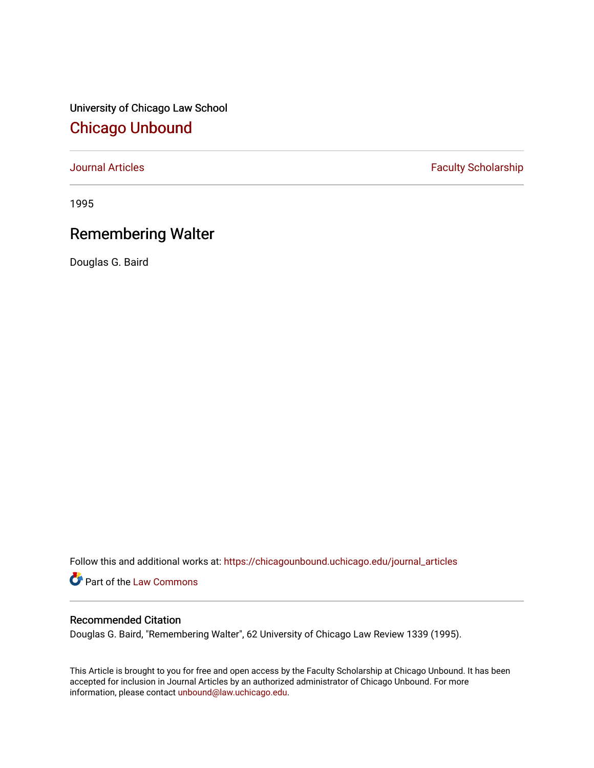University of Chicago Law School [Chicago Unbound](https://chicagounbound.uchicago.edu/)

[Journal Articles](https://chicagounbound.uchicago.edu/journal_articles) **Faculty Scholarship Faculty Scholarship** 

1995

## Remembering Walter

Douglas G. Baird

Follow this and additional works at: [https://chicagounbound.uchicago.edu/journal\\_articles](https://chicagounbound.uchicago.edu/journal_articles?utm_source=chicagounbound.uchicago.edu%2Fjournal_articles%2F1025&utm_medium=PDF&utm_campaign=PDFCoverPages) 

Part of the [Law Commons](http://network.bepress.com/hgg/discipline/578?utm_source=chicagounbound.uchicago.edu%2Fjournal_articles%2F1025&utm_medium=PDF&utm_campaign=PDFCoverPages)

## Recommended Citation

Douglas G. Baird, "Remembering Walter", 62 University of Chicago Law Review 1339 (1995).

This Article is brought to you for free and open access by the Faculty Scholarship at Chicago Unbound. It has been accepted for inclusion in Journal Articles by an authorized administrator of Chicago Unbound. For more information, please contact [unbound@law.uchicago.edu](mailto:unbound@law.uchicago.edu).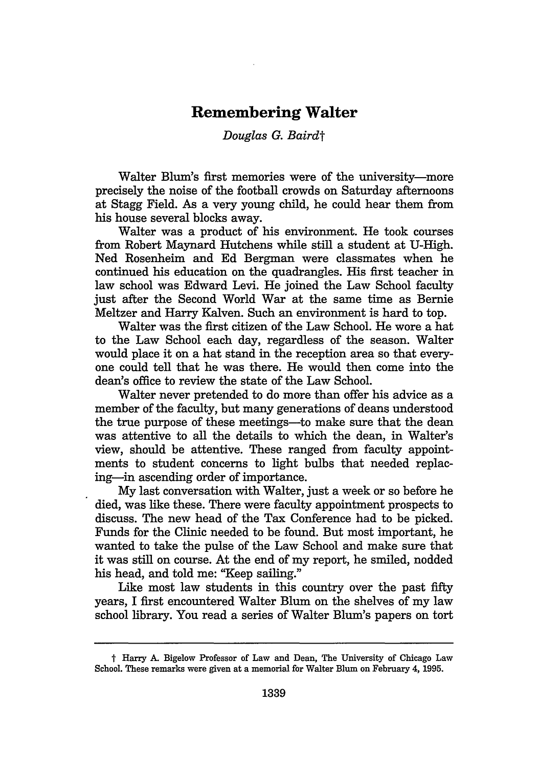## **Remembering Walter**

## *Douglas G. Bairdt*

Walter Blum's first memories were of the university—more precisely the noise of the football crowds on Saturday afternoons at Stagg Field. As a very young child, he could hear them from his house several blocks away.

Walter was a product of his environment. He took courses from Robert Maynard Hutchens while still a student at U-High. Ned Rosenheim and Ed Bergman were classmates when he continued his education on the quadrangles. His first teacher in law school was Edward Levi. He joined the Law School faculty just after the Second World War at the same time as Bernie Meltzer and Harry Kalven. Such an environment is hard to top.

Walter was the first citizen of the Law School. He wore a hat to the Law School each day, regardless of the season. Walter would place it on a hat stand in the reception area so that everyone could tell that he was there. He would then come into the dean's office to review the state of the Law School.

Walter never pretended to do more than offer his advice as a member of the faculty, but many generations of deans understood the true purpose of these meetings—to make sure that the dean was attentive to all the details to which the dean, in Walter's view, should be attentive. These ranged from faculty appointments to student concerns to light bulbs that needed replacing-in ascending order of importance.

My last conversation with Walter, just a week or so before he died, was like these. There were faculty appointment prospects to discuss. The new head of the Tax Conference had to be picked. Funds for the Clinic needed to be found. But most important, he wanted to take the pulse of the Law School and make sure that it was still on course. At the end of my report, he smiled, nodded his head, and told me: "Keep sailing."

Like most law students in this country over the past fifty years, I first encountered Walter Blum on the shelves of my law school library. You read a series of Walter Blum's papers on tort

t Harry A. Bigelow Professor of Law and Dean, The University of Chicago Law School. These remarks were given at a memorial for Walter Blum on February 4, **1995.**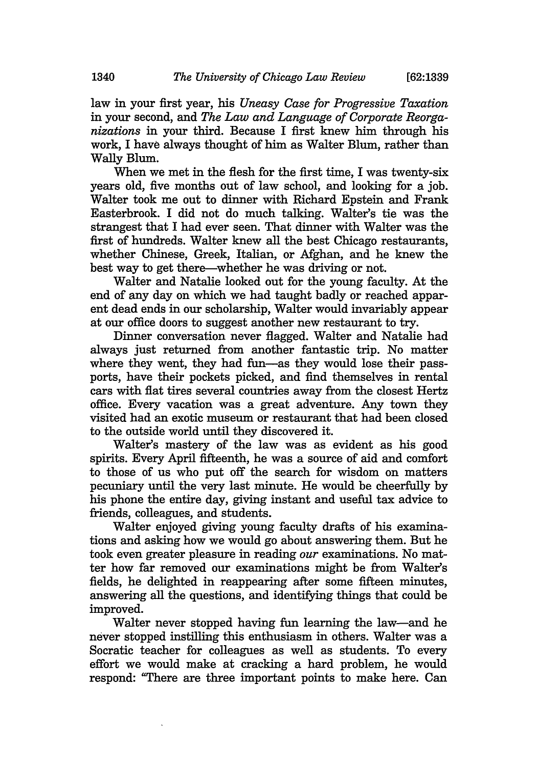law in your first year, his *Uneasy Case for Progressive Taxation* in your second, and *The Law and Language of Corporate Reorganizations* in your third. Because I first knew him through his work, I have always thought of him as Walter Blum, rather than Wally Blum.

When we met in the flesh for the first time, I was twenty-six years old, five months out of law school, and looking for a job. Walter took me out to dinner with Richard Epstein and Frank Easterbrook. I did not do much talking. Walter's tie was the strangest that I had ever seen. That dinner with Walter was the first of hundreds. Walter knew all the best Chicago restaurants, whether Chinese, Greek, Italian, or Afghan, and he knew the best way to get there-whether he was driving or not.

Walter and Natalie looked out for the young faculty. At the end of any day on which we had taught badly or reached apparent dead ends in our scholarship, Walter would invariably appear at our office doors to suggest another new restaurant to try.

Dinner conversation never flagged. Walter and Natalie had always just returned from another fantastic trip. No matter where they went, they had fun-as they would lose their passports, have their pockets picked, and find themselves in rental cars with flat tires several countries away from the closest Hertz office. Every vacation was a great adventure. Any town they visited had an exotic museum or restaurant that had been closed to the outside world until they discovered it.

Walter's mastery of the law was as evident as his good spirits. Every April fifteenth, he was a source of aid and comfort to those of us who put off the search for wisdom on matters pecuniary until the very last minute. He would be cheerfully by his phone the entire day, giving instant and useful tax advice to friends, colleagues, and students.

Walter enjoyed giving young faculty drafts of his examinations and asking how we would go about answering them. But he took even greater pleasure in reading *our* examinations. No matter how far removed our examinations might be from Walter's fields, he delighted in reappearing after some fifteen minutes, answering all the questions, and identifying things that could be improved.

Walter never stopped having fun learning the law-and he never stopped instilling this enthusiasm in others. Walter was a Socratic teacher for colleagues as well as students. To every effort we would make at cracking a hard problem, he would respond: "There are three important points to make here. Can